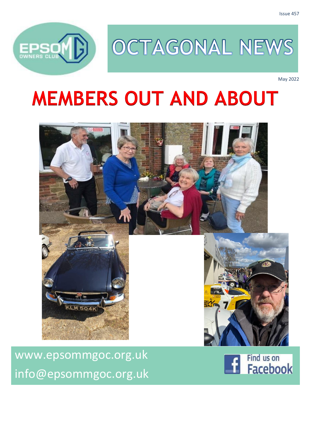

# OCTAGONAL NEWS

May 2022

# **MEMBERS OUT AND ABOUT**



Find us on **Facebook** 

[www.epsommgoc.org.uk](http://www.epsommgoc.org.uk/) [info@epsommgoc.org.uk](mailto:info@epsommgoc.org.uk)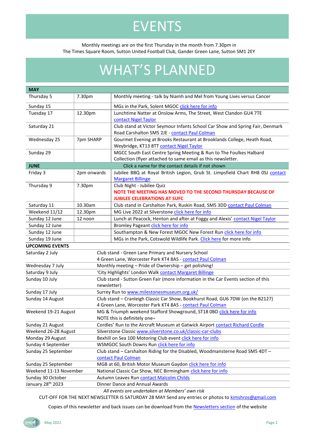## EVENTS

#### Monthly meetings are on the first Thursday in the month from 7.30pm in The Times Square Room, Sutton United Football Club, Gander Green Lane, Sutton SM1 2EY

## WHAT'S PLANNED

| <b>MAY</b>                                                   |                                                                                         |                                                                                                                                    |  |  |  |  |
|--------------------------------------------------------------|-----------------------------------------------------------------------------------------|------------------------------------------------------------------------------------------------------------------------------------|--|--|--|--|
| Thursday 5                                                   | 7.30pm                                                                                  | Monthly meeting - talk by Niamh and Mel from Young Lives versus Cancer                                                             |  |  |  |  |
| Sunday 15                                                    |                                                                                         | MGs in the Park, Solent MGOC click here for info                                                                                   |  |  |  |  |
| Tuesday 17                                                   | 12.30pm                                                                                 | Lunchtime Natter at Onslow Arms, The Street, West Clandon GU4 7TE                                                                  |  |  |  |  |
|                                                              |                                                                                         | contact Nigel Taylor                                                                                                               |  |  |  |  |
| Saturday 21                                                  |                                                                                         | Club stand at Victor Seymour Infants School Car Show and Spring Fair, Denmark<br>Road Carshalton SM5 2JE - contact Paul Colman     |  |  |  |  |
| Wednesday 25                                                 | 7pm SHARP                                                                               | Gourmet Evening at Brooks Restaurant at Brooklands College, Heath Road,                                                            |  |  |  |  |
|                                                              |                                                                                         | Weybridge, KT13 8TT contact Nigel Taylor                                                                                           |  |  |  |  |
| Sunday 29                                                    |                                                                                         | MGCC South East Centre Spring Meeting & Run to The Foulkes Halbard<br>Collection (flyer attached to same email as this newsletter. |  |  |  |  |
| <b>JUNE</b>                                                  |                                                                                         | Click a name for the contact details if not shown                                                                                  |  |  |  |  |
| Friday 3                                                     | 2pm onwards                                                                             | Jubilee BBQ at Royal British Legion, Grub St. Limpsfield Chart RH8 0SJ contact                                                     |  |  |  |  |
|                                                              |                                                                                         | <b>Margaret Billinge</b>                                                                                                           |  |  |  |  |
| Thursday 9                                                   | 7.30pm                                                                                  | Club Night - Jubilee Quiz                                                                                                          |  |  |  |  |
|                                                              |                                                                                         | NOTE THE MEETING HAS MOVED TO THE SECOND THURSDAY BECAUSE OF                                                                       |  |  |  |  |
|                                                              |                                                                                         | <b>JUBILEE CELEBRATIONS AT SUFC</b>                                                                                                |  |  |  |  |
| Saturday 11                                                  | 10.30am                                                                                 | Club stand in Carshalton Park, Ruskin Road, SM5 3DD contact Paul Colman                                                            |  |  |  |  |
| Weekend 11/12                                                | MG Live 2022 at Silverstone click here for info<br>12.30pm                              |                                                                                                                                    |  |  |  |  |
| Sunday 12 June                                               | 12 noon<br>Lunch at Peacock, Henton and after at Foggy and Alexis' contact Nigel Taylor |                                                                                                                                    |  |  |  |  |
| Sunday 12 June                                               |                                                                                         | Bromley Pageant click here for info                                                                                                |  |  |  |  |
| Sunday 12 June                                               |                                                                                         | Southampton & New Forest MGOC New Forest Run click here for info                                                                   |  |  |  |  |
| Sunday 19 June                                               |                                                                                         | MGs in the Park, Cotswold Wildlife Park. Click here for more info                                                                  |  |  |  |  |
| <b>UPCOMING EVENTS</b>                                       |                                                                                         |                                                                                                                                    |  |  |  |  |
| Saturday 2 July                                              |                                                                                         | Club stand - Green Lane Primary and Nursery School                                                                                 |  |  |  |  |
|                                                              |                                                                                         | 4 Green Lane, Worcester Park KT4 8AS - contact Paul Colman                                                                         |  |  |  |  |
| Wednesday 7 July                                             |                                                                                         | Monthly meeting - Pride of Ownership - get polishing!                                                                              |  |  |  |  |
| Saturday 9 July                                              |                                                                                         | 'City Highlights' London Walk contact Margaret Billinge                                                                            |  |  |  |  |
| Sunday 10 July                                               |                                                                                         | Club stand - Sutton Green Fair (more information in the Car Events section of this<br>newsletter)                                  |  |  |  |  |
| Surrey Run to www.milestonesmuseum.org.uk/<br>Sunday 17 July |                                                                                         |                                                                                                                                    |  |  |  |  |
| Sunday 14 August                                             |                                                                                         | Club stand - Cranleigh Classic Car Show, Bookhurst Road, GU6 7DW (on the B2127)                                                    |  |  |  |  |
|                                                              |                                                                                         | 4 Green Lane, Worcester Park KT4 8AS - contact Paul Colman                                                                         |  |  |  |  |
| Weekend 19-21 August                                         |                                                                                         | MG & Triumph weekend Stafford Showground, ST18 0BD click here for info                                                             |  |  |  |  |
|                                                              |                                                                                         | NOTE this is definitely one-                                                                                                       |  |  |  |  |
| Sunday 21 August                                             |                                                                                         | Cordles' Run to the Aircraft Museum at Gatwick Airport contact Richard Cordle                                                      |  |  |  |  |
| Weekend 26-28 August                                         |                                                                                         | Silverstone Classic www.silverstone.co.uk/classic-car-clubs                                                                        |  |  |  |  |
| Monday 29 August                                             |                                                                                         | Bexhill on Sea 100 Motoring Club event click here for info                                                                         |  |  |  |  |
| Sunday 4 September                                           |                                                                                         | WSMGOC South Downs Run click here for info                                                                                         |  |  |  |  |
| Sunday 25 September                                          |                                                                                         | Club stand - Carshalton Riding for the Disabled, Woodmansterne Road SM5 4DT -                                                      |  |  |  |  |
|                                                              |                                                                                         | contact Paul Colman                                                                                                                |  |  |  |  |
| Sunday 25 September                                          |                                                                                         | MGB at 60, British Motor Museum Gaydon click here for info                                                                         |  |  |  |  |
| Weekend 11-13 November                                       |                                                                                         | National Classic Car Show, NEC Birmingham click here for info                                                                      |  |  |  |  |
| Sunday 30 October                                            |                                                                                         | Autumn Leaves Run contact Malcolm Childs                                                                                           |  |  |  |  |
| January 28 <sup>th</sup> 2023                                |                                                                                         | Dinner Dance and Annual Awards                                                                                                     |  |  |  |  |

*All events are undertaken at Members' own risk*

CUT-OFF FOR THE NEXT NEWSLETTER IS SATURDAY 28 MAY Send any entries or photos to [kimshros@gmail.com](mailto:kimshros@gmail.com)

Copies of this newsletter and back issues can be download from the [Newsletters section](http://www.epsommgoc.org.uk/epsom-mgoc-newsletters/) of the website

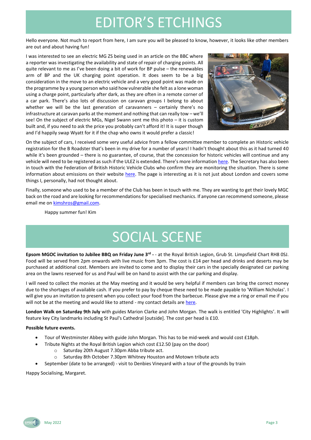### EDITOR'S ETCHINGS

Hello everyone. Not much to report from here, I am sure you will be pleased to know, however, it looks like other members are out and about having fun!

I was interested to see an electric MG ZS being used in an article on the BBC where a reporter was investigating the availability and state of repair of charging points. All quite relevant to me as I've been doing a bit of work for BP pulse – the renewables arm of BP and the UK charging point operation. It does seem to be a big consideration in the move to an electric vehicle and a very good point was made on the programme by a young person who said how vulnerable she felt as a lone woman using a charge point, particularly after dark, as they are often in a remote corner of a car park. There's also lots of discussion on caravan groups I belong to about whether we will be the last generation of caravanners – certainly there's no infrastructure at caravan parks at the moment and nothing that can really tow – we'll see! On the subject of electric MGs, Nigel Swann sent me this photo – it is custom built and, if you need to ask the price you probably can't afford it! It is super though and I'd happily swap Wyatt for it if the chap who owns it would prefer a classic!



On the subject of cars, I received some very useful advice from a fellow committee member to complete an Historic vehicle registration for the B Roadster that's been in my drive for a number of years! I hadn't thought about this as it had turned 40 while it's been grounded – there is no guarantee, of course, that the concession for historic vehicles will continue and any vehicle will need to be registered as such if the ULEZ is extended. There's more information [here.](https://www.gov.uk/historic-vehicles/apply-for-vehicle-tax-exemption) The Secretary has also been in touch with the Federation of British Historic Vehicle Clubs who confirm they are monitoring the situation. There is some information about emissions on their website [here.](https://www.fbhvc.co.uk/emissions) The page is interesting as it is not just about London and covers some things I, personally, had not thought about.

Finally, someone who used to be a member of the Club has been in touch with me. They are wanting to get their lovely MGC back on the road and are looking for recommendations for specialised mechanics. If anyone can recommend someone, please email me on **kimshros@gmail.com**.

Happy summer fun! Kim

## SOCIAL SCENE

**Epsom MGOC invitation to Jubilee BBQ on Friday June 3rd -** - at the Royal British Legion, Grub St. Limpsfield Chart RH8 0SJ. Food will be served from 2pm onwards with live music from 3pm. The cost is £14 per head and drinks and deserts may be purchased at additional cost. Members are invited to come and to display their cars in the specially designated car parking area on the lawns reserved for us and Paul will be on hand to assist with the car parking and display.

I will need to collect the monies at the May meeting and it would be very helpful if members can bring the correct money due to the shortages of available cash. If you prefer to pay by cheque these need to be made payable to 'William Nicholas'. I will give you an invitation to present when you collect your food from the barbecue. Please give me a ring or email me if you will not be at the meeting and would like to attend - my contact details are here.

**London Walk on Saturday 9th July** with guides Marion Clarke and John Morgan. The walk is entitled 'City Highlights'. It will feature key City landmarks including St Paul's Cathedral [outside]. The cost per head is £10.

#### **Possible future events.**

- Tour of Westminster Abbey with guide John Morgan. This has to be mid-week and would cost £18ph.
- Tribute Nights at the Royal British Legion which cost £12.50 (pay on the door)
	- o Saturday 20th August 7.30pm Abba tribute act.
	- o Saturday 8th October 7.30pm Whitney Houston and Motown tribute acts
- September (date to be arranged) visit to Denbies Vineyard with a tour of the grounds by train

Happy Socialising, Margaret.

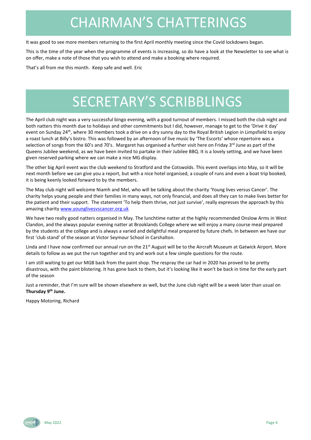## CHAIRMAN'S CHATTERINGS

It was good to see more members returning to the first April monthly meeting since the Covid lockdowns began.

This is the time of the year when the programme of events is increasing, so do have a look at the Newsletter to see what is on offer, make a note of those that you wish to attend and make a booking where required.

That's all from me this month. Keep safe and well. Eric

## SECRETARY'S SCRIBBLINGS

The April club night was a very successful bingo evening, with a good turnout of members. I missed both the club night and both natters this month due to holidays and other commitments but I did, however, manage to get to the 'Drive it day' event on Sunday 24<sup>th</sup>, where 30 members took a drive on a dry sunny day to the Royal British Legion in Limpsfield to enjoy a roast lunch at Billy's bistro. This was followed by an afternoon of live music by 'The Escorts' whose repertoire was a selection of songs from the 60's and 70's. Margaret has organised a further visit here on Friday 3<sup>rd</sup> June as part of the Queens Jubilee weekend, as we have been invited to partake in their Jubilee BBQ. It is a lovely setting, and we have been given reserved parking where we can make a nice MG display.

The other big April event was the club weekend to Stratford and the Cotswolds. This event overlaps into May, so it will be next month before we can give you a report, but with a nice hotel organised, a couple of runs and even a boat trip booked, it is being keenly looked forward to by the members.

The May club night will welcome Niamh and Mel, who will be talking about the charity 'Young lives versus Cancer'. The charity helps young people and their families in many ways, not only financial, and does all they can to make lives better for the patient and their support. The statement 'To help them thrive, not just survive', really expresses the approach by this amazing charity [www.younglivesvscancer.org.uk](http://www.younglivesvscancer.org.uk/)

We have two really good natters organised in May. The lunchtime natter at the highly recommended Onslow Arms in West Clandon, and the always popular evening natter at Brooklands College where we will enjoy a many course meal prepared by the students at the college and is always a varied and delightful meal prepared by future chefs. In between we have our first 'club stand' of the season at Victor Seymour School in Carshalton.

Linda and I have now confirmed our annual run on the 21<sup>st</sup> August will be to the Aircraft Museum at Gatwick Airport. More details to follow as we put the run together and try and work out a few simple questions for the route.

I am still waiting to get our MGB back from the paint shop. The respray the car had in 2020 has proved to be pretty disastrous, with the paint blistering. It has gone back to them, but it's looking like it won't be back in time for the early part of the season

Just a reminder, that I'm sure will be shown elsewhere as well, but the June club night will be a week later than usual on **Thursday 9 th June.**

Happy Motoring, Richard

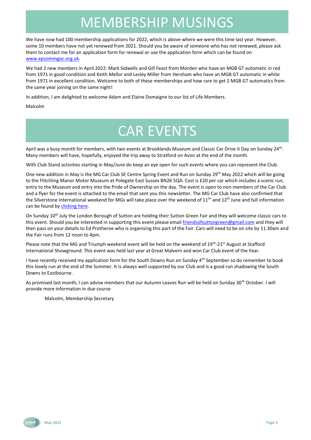### MEMBERSHIP MUSINGS

We have now had 100 membership applications for 2022, which is above where we were this time last year. However, some 10 members have not yet renewed from 2021. Should you be aware of someone who has not renewed, please ask them to contact me for an application form for renewal or use the application form which can be found on [www.epsommgoc.org.uk.](http://www.epsommgoc.org.uk/)

We had 2 new members in April 2022: Mark Sidwells and Gill Feast from Morden who have an MGB GT automatic in red from 1971 in good condition and Keith Mellor and Lesley Miller from Hersham who have an MGB GT automatic in white from 1971 in excellent condition. Welcome to both of these memberships and how rare to get 2 MGB GT automatics from the same year joining on the same night!

In addition, I am delighted to welcome Adam and Elaine Domaigne to our list of Life Members.

Malcolm

## CAR EVENTS

April was a busy month for members, with two events at Brooklands Museum and Classic Car Drive it Day on Sunday 24<sup>th</sup>. Many members will have, hopefully, enjoyed the trip away to Stratford on Avon at the end of the month.

With Club Stand activities starting in May/June do keep an eye open for such events where you can represent the Club.

One new addition in May is the MG Car Club SE Centre Spring Event and Run on Sunday 29<sup>th</sup> May 2022 which will be going to the Flitchling Manor Motor Museum at Polegate East Sussex BN26 5QA. Cost is £20 per car which includes a scenic run, entry to the Museum and entry into the Pride of Ownership on the day. The event is open to non-members of the Car Club and a flyer for the event is attached to the email that sent you this newsletter. The MG Car Club have also confirmed that the Silverstone International weekend for MGs will take place over the weekend of  $11<sup>th</sup>$  and  $12<sup>th</sup>$  June and full information can be found by [clicking here.](https://www.mgcc.co.uk/event/35175/)

On Sunday 10<sup>th</sup> July the London Borough of Sutton are holding their Sutton Green Fair and they will welcome classic cars to this event. Should you be interested in supporting this event please email [friendsofsuttongreen@gmail.com](mailto:friendsofsuttongreen@gmail.com) and they will then pass on your details to Ed Protheroe who is organising this part of the Fair. Cars will need to be on site by 11.30am and the Fair runs from 12 noon to 4pm.

Please note that the MG and Triumph weekend event will be held on the weekend of 19<sup>th</sup>-21<sup>st</sup> August at Stafford International Showground. This event was held last year at Great Malvern and won Car Club event of the Year.

I have recently received my application form for the South Downs Run on Sunday 4<sup>th</sup> September so do remember to book this lovely run at the end of the Summer. It is always well supported by our Club and is a good run shadowing the South Downs to Eastbourne.

As promised last month, I can advise members that our Autumn Leaves Run will be held on Sunday 30<sup>th</sup> October. I will provide more information in due course

Malcolm, Membership Secretary

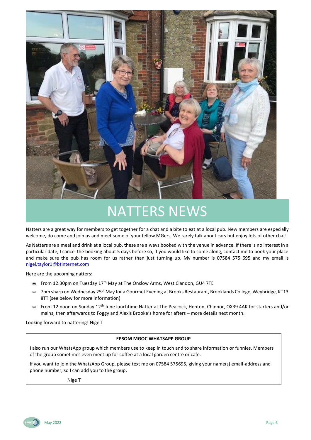

### NATTERS NEWS

Natters are a great way for members to get together for a chat and a bite to eat at a local pub. New members are especially welcome, do come and join us and meet some of your fellow MGers. We rarely talk about cars but enjoy lots of other chat!

As Natters are a meal and drink at a local pub, these are always booked with the venue in advance. If there is no interest in a particular date, I cancel the booking about 5 days before so, if you would like to come along, contact me to book your place and make sure the pub has room for us rather than just turning up. My number is 07584 575 695 and my email is [nigel.taylor1@btinternet.com](mailto:nigel.taylor1@btinternet.com)

Here are the upcoming natters:

- From 12.30pm on Tuesday 17<sup>th</sup> May at The Onslow Arms, West Clandon, GU4 7TE
- <sup>■</sup> 7pm sharp on Wednesday 25<sup>th</sup> May for a Gourmet Evening at Brooks Restaurant, Brooklands College, Weybridge, KT13 8TT (see below for more information)
- From 12 noon on Sunday 12<sup>th</sup> June lunchtime Natter at The Peacock, Henton, Chinnor, OX39 4AK for starters and/or mains, then afterwards to Foggy and Alexis Brooke's home for afters – more details next month.

Looking forward to nattering! Nige T

#### **EPSOM MGOC WHATSAPP GROUP**

I also run our WhatsApp group which members use to keep in touch and to share information or funnies. Members of the group sometimes even meet up for coffee at a local garden centre or cafe.

If you want to join the WhatsApp Group, please text me on 07584 575695, giving your name(s) email-address and phone number, so I can add you to the group.

Nige T

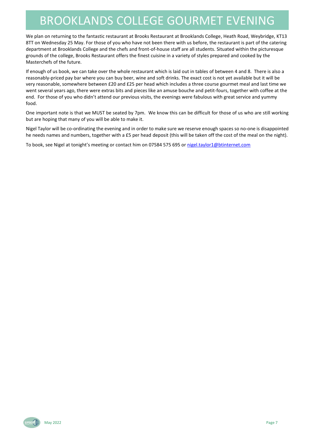### BROOKLANDS COLLEGE GOURMET EVENING

We plan on returning to the fantastic restaurant at Brooks Restaurant at Brooklands College, Heath Road, Weybridge, KT13 8TT on Wednesday 25 May. For those of you who have not been there with us before, the restaurant is part of the catering department at Brooklands College and the chefs and front-of-house staff are all students. Situated within the picturesque grounds of the college, Brooks Restaurant offers the finest cuisine in a variety of styles prepared and cooked by the Masterchefs of the future.

If enough of us book, we can take over the whole restaurant which is laid out in tables of between 4 and 8. There is also a reasonably-priced pay bar where you can buy beer, wine and soft drinks. The exact cost is not yet available but it will be very reasonable, somewhere between £20 and £25 per head which includes a three course gourmet meal and last time we went several years ago, there were extras bits and pieces like an amuse bouche and petit-fours, together with coffee at the end. For those of you who didn't attend our previous visits, the evenings were fabulous with great service and yummy food.

One important note is that we MUST be seated by 7pm. We know this can be difficult for those of us who are still working but are hoping that many of you will be able to make it.

Nigel Taylor will be co-ordinating the evening and in order to make sure we reserve enough spaces so no-one is disappointed he needs names and numbers, together with a £5 per head deposit (this will be taken off the cost of the meal on the night).

To book, see Nigel at tonight's meeting or contact him on 07584 575 695 o[r nigel.taylor1@btinternet.com](mailto:nigel.taylor1@btinternet.com)

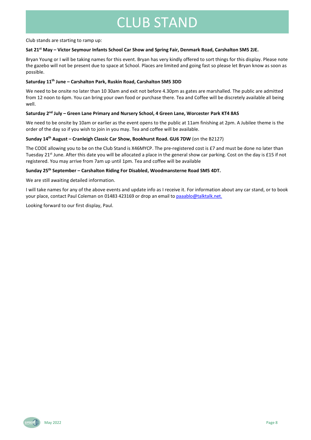### CLUB STAND

Club stands are starting to ramp up:

#### **Sat 21st May – Victor Seymour Infants School Car Show and Spring Fair, Denmark Road, Carshalton SM5 2JE.**

Bryan Young or I will be taking names for this event. Bryan has very kindly offered to sort things for this display. Please note the gazebo will not be present due to space at School. Places are limited and going fast so please let Bryan know as soon as possible.

#### **Saturday 11th June – Carshalton Park, Ruskin Road, Carshalton SM5 3DD**

We need to be onsite no later than 10 30am and exit not before 4.30pm as gates are marshalled. The public are admitted from 12 noon to 6pm. You can bring your own food or purchase there. Tea and Coffee will be discretely available all being well.

#### **Saturday 2nd July – Green Lane Primary and Nursery School, 4 Green Lane, Worcester Park KT4 8AS**

We need to be onsite by 10am or earlier as the event opens to the public at 11am finishing at 2pm. A Jubilee theme is the order of the day so if you wish to join in you may. Tea and coffee will be available.

#### **Sunday 14th August – Cranleigh Classic Car Show, Bookhurst Road. GU6 7DW** (on the B2127)

The CODE allowing you to be on the Club Stand is X46MYCP. The pre-registered cost is £7 and must be done no later than Tuesday 21<sup>st</sup> June. After this date you will be allocated a place in the general show car parking. Cost on the day is £15 if not registered. You may arrive from 7am up until 1pm. Tea and coffee will be available

#### **Sunday 25th September – Carshalton Riding For Disabled, Woodmansterne Road SM5 4DT.**

We are still awaiting detailed information.

I will take names for any of the above events and update info as I receive it. For information about any car stand, or to book your place, contact Paul Coleman on 01483 423169 or drop an email t[o paaablo@talktalk.net.](mailto:paaablo@talktalk.net)

Looking forward to our first display, Paul.

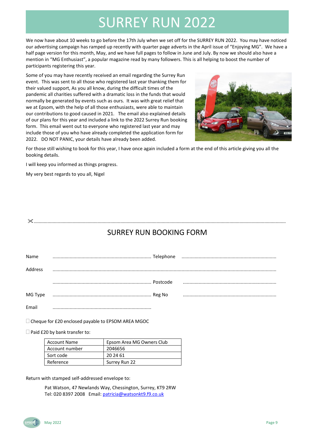## SURREY RUN 2022

We now have about 10 weeks to go before the 17th July when we set off for the SURREY RUN 2022. You may have noticed our advertising campaign has ramped up recently with quarter page adverts in the April issue of "Enjoying MG". We have a half page version for this month, May, and we have full pages to follow in June and July. By now we should also have a mention in "MG Enthusiast", a popular magazine read by many followers. This is all helping to boost the number of participants registering this year.

Some of you may have recently received an email regarding the Surrey Run event. This was sent to all those who registered last year thanking them for their valued support, As you all know, during the difficult times of the pandemic all charities suffered with a dramatic loss in the funds that would normally be generated by events such as ours. It was with great relief that we at Epsom, with the help of all those enthusiasts, were able to maintain our contributions to good caused in 2021. The email also explained details of our plans for this year and included a link to the 2022 Surrey Run booking form. This email went out to everyone who registered last year and may include those of you who have already completed the application form for 2022. DO NOT PANIC, your details have already been added.



For those still wishing to book for this year, I have once again included a form at the end of this article giving you all the booking details.

I will keep you informed as things progress.

My very best regards to you all, Nigel

### SURREY RUN BOOKING FORM

.........................................................................................................................................................................................................

| Name    |          |  |
|---------|----------|--|
| Address |          |  |
|         | Postcode |  |
| MG Type |          |  |
| Email   |          |  |

 $\Box$  Cheque for £20 enclosed payable to EPSOM AREA MGOC

 $\Box$  Paid £20 by bank transfer to:

| <b>Account Name</b> | Epsom Area MG Owners Club |
|---------------------|---------------------------|
| Account number      | 2046656                   |
| Sort code           | 20 24 61                  |
| Reference           | Surrey Run 22             |

Return with stamped self-addressed envelope to:

Pat Watson, 47 Newlands Way, Chessington, Surrey, KT9 2RW Tel: 020 8397 2008 Email: [patricia@watsonkt9.f9.co.uk](mailto:patricia@watsonkt9.f9.co.uk)

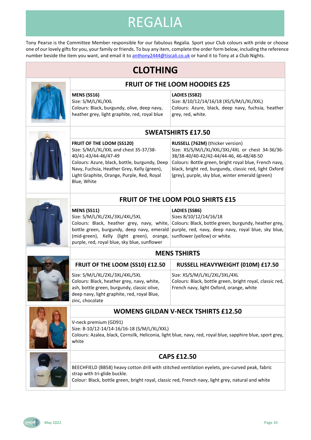## REGALIA

Tony Pearse is the Committee Member responsible for our fabulous Regalia. Sport your Club colours with pride or choose one of our lovely gifts for you, your family or friends. To buy any item, complete the order form below, including the reference number beside the item you want, and email it t[o anthony2444@tiscali.co.uk](mailto:anthony2444@tiscali.co.uk?subject=MG%20Regalia) or hand it to Tony at a Club Nights.

### **CLOTHING**



#### **MENS (SS16)**

Size: S/M/L/XL/XXL Colours: Black, burgundy, olive, deep navy, heather grey, light graphite, red, royal blue

#### **LADIES (SS82)**

Size: 8/10/12/14/16/18 (XS/S/M/L/XL/XXL) Colours: Azure, black, deep navy, fuchsia, heather grey, red, white.



#### **SWEATSHIRTS £17.50**

**FRUIT OF THE LOOM HOODIES £25**

**FRUIT OF THE LOOM (SS120)** Size: S/M/L/XL/XXL and chest 35-37/38- 40/41-43/44-46/47-49 Colours: Azure, black, bottle, burgundy, Deep Navy, Fuchsia, Heather Grey, Kelly (green), Light Graphite, Orange, Purple, Red, Royal Blue, White

**RUSSELL (762M)** (thicker version) Size: XS/S/M/L/XL/XXL/3XL/4XL or chest 34-36/36- 38/38-40/40-42/42-44/44-46, 46-48/48-50 Colours: Bottle green, bright royal blue, French navy, black, bright red, burgundy, classic red, light Oxford (grey), purple, sky blue, winter emerald (green)

### **FRUIT OF THE LOOM POLO SHIRTS £15**

**MENS (SS11)** Size: S/M/L/XL/2XL/3XL/4XL/5XL Colours: Black, heather grey, navy, white, (mid-green), Kelly (light green), orange, sunflower (yellow) or white. purple, red, royal blue, sky blue, sunflower

V-neck premium (GD91)

#### **LADIES (SS86)**

Sizes 8/10/12/14/16/18

bottle green, burgundy, deep navy, emerald | purple, red, navy, deep navy, royal blue, sky blue, Colours: Black, bottle green, burgundy, heather grey,

#### **MENS TSHIRTS**

| FRUIT OF THE LOOM (SS10) £12.50                                                                                                                                                               | RUSSELL HEAVYWEIGHT (010M) £17.50                                                                                                     |
|-----------------------------------------------------------------------------------------------------------------------------------------------------------------------------------------------|---------------------------------------------------------------------------------------------------------------------------------------|
| Size: S/M/L/XL/2XL/3XL/4XL/5XL<br>Colours: Black, heather grey, navy, white,<br>ash, bottle green, burgundy, classic olive,<br>deep navy, light graphite, red, royal Blue,<br>zinc, chocolate | Size: XS/S/M/L/XL/2XL/3XL/4XL<br>Colours: Black, bottle green, bright royal, classic red,<br>French navy, light Oxford, orange, white |
|                                                                                                                                                                                               |                                                                                                                                       |



### **WOMENS GILDAN V-NECK TSHIRTS £12.50**

Size: 8-10/12-14/14-16/16-18 (S/M/L/XL/XXL) Colours: Azalea, black, Cornsilk, Heliconia, light blue, navy, red, royal blue, sapphire blue, sport grey, white

**CAPS £12.50**



#### BEECHFIELD (BB58) heavy cotton drill with stitched ventilation eyelets, pre-curved peak, fabric strap with tri-glide buckle.

Colour: Black, bottle green, bright royal, classic red, French navy, light grey, natural and white

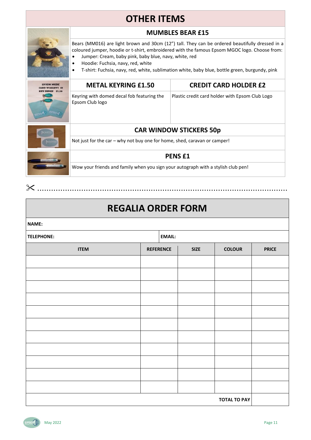### **OTHER ITEMS**

### **MUMBLES BEAR £15**

Bears (MM016) are light brown and 30cm (12") tall. They can be ordered beautifully dressed in a coloured jumper, hoodie or t-shirt, embroidered with the famous Epsom MGOC logo. Choose from:

- Jumper: Cream, baby pink, baby blue, navy, white, red
- Hoodie: Fuchsia, navy, red, white
- T-shirt: Fuchsia, navy, red, white, sublimation white, baby blue, bottle green, burgundy, pink

|  | <b>METAL KEYRING £1.50</b>                                                                         | <b>CREDIT CARD HOLDER £2</b>                    |  |  |  |
|--|----------------------------------------------------------------------------------------------------|-------------------------------------------------|--|--|--|
|  | Keyring with domed decal fob featuring the<br>Epsom Club logo                                      | Plastic credit card holder with Epsom Club Logo |  |  |  |
|  | <b>CAR WINDOW STICKERS 50p</b>                                                                     |                                                 |  |  |  |
|  | Not just for the car – why not buy one for home, shed, caravan or camper!                          |                                                 |  |  |  |
|  | <b>PENSE1</b><br>Wow your friends and family when you sign your autograph with a stylish club pen! |                                                 |  |  |  |
|  |                                                                                                    |                                                 |  |  |  |

### **REGALIA ORDER FORM**

............................................................................................................

| <b>NAME:</b>      |                  |  |               |                     |              |  |
|-------------------|------------------|--|---------------|---------------------|--------------|--|
| <b>TELEPHONE:</b> |                  |  | <b>EMAIL:</b> |                     |              |  |
| <b>ITEM</b>       | <b>REFERENCE</b> |  | <b>SIZE</b>   | <b>COLOUR</b>       | <b>PRICE</b> |  |
|                   |                  |  |               |                     |              |  |
|                   |                  |  |               |                     |              |  |
|                   |                  |  |               |                     |              |  |
|                   |                  |  |               |                     |              |  |
|                   |                  |  |               |                     |              |  |
|                   |                  |  |               |                     |              |  |
|                   |                  |  |               |                     |              |  |
|                   |                  |  |               |                     |              |  |
|                   |                  |  |               |                     |              |  |
|                   |                  |  |               |                     |              |  |
|                   |                  |  |               |                     |              |  |
|                   |                  |  |               | <b>TOTAL TO PAY</b> |              |  |



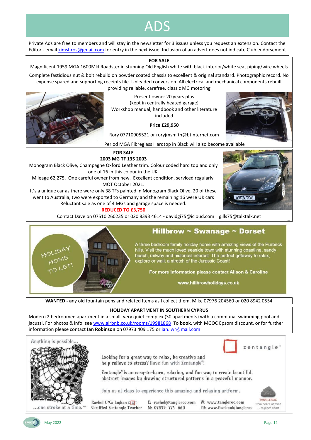### ADS

Private Ads are free to members and will stay in the newsletter for 3 issues unless you request an extension. Contact the Editor - email [kimshros@gmail.com](mailto:kimshros@gmail.com) for entry in the next issue. Inclusion of an advert does not indicate Club endorsement

#### **FOR SALE**

Magnificent 1959 MGA 1600MkI Roadster in stunning Old English white with black interior/white seat piping/wire wheels

Complete fastidious nut & bolt rebuild on powder coated chassis to excellent & original standard. Photographic record. No expense spared and supporting receipts file. Unleaded conversion. All electrical and mechanical components rebuilt providing reliable, carefree, classic MG motoring



Present owner 20 years plus (kept in centrally heated garage) Workshop manual, handbook and other literature included

**Price £29,950**

Rory 07710905521 or roryjmsmith@btinternet.com



Period MGA Fibreglass Hardtop in Black will also become available



 $3/3$ 

**REDUCED TO £3,750**

**FOR SALE 2003 MG TF 135 2003**

one of 16 in this colour in the UK. Mileage 62,275. One careful owner from new. Excellent condition, serviced regularly. MOT October 2021. It's a unique car as there were only 38 TFs painted in Monogram Black Olive, 20 of these went to Australia, two were exported to Germany and the remaining 16 were UK cars Reluctant sale as one of 4 MGs and garage space is needed.

Contact Dave on 07510 260235 or 020 8393 4614 - davidgi75@icloud.com gills75@talktalk.net



### Hillbrow  $\sim$  Swanage  $\sim$  Dorset

A three bedroom family holiday home with amazing views of the Purbeck hills. Visit the much loved seaside town with stunning coastline, sandy beach, railway and historical interest. The perfect getaway to relax,<br>explore or walk a stretch of the Jurassic Coast!

For more information please contact Alison & Caroline

www.hillbrowholidays.co.uk

**WANTED - a**ny old fountain pens and related Items as I collect them. Mike 07976 204560 or 020 8942 0554

#### **HOLIDAY APARTMENT IN SOUTHERN CYPRUS**

Modern 2 bedroomed apartment in a small, very quiet complex (30 apartments) with a communal swimming pool and jacuzzi. For photos & info. se[e www.airbnb.co.uk/rooms/19981868](http://www.airbnb.co.uk/rooms/19981868) To **book**, with MGOC Epsom discount, or for further information please contact **Ian Robinson** on 07973 409 175 o[r ian.iwr@mail.com](mailto:ian.iwr@mail.com)